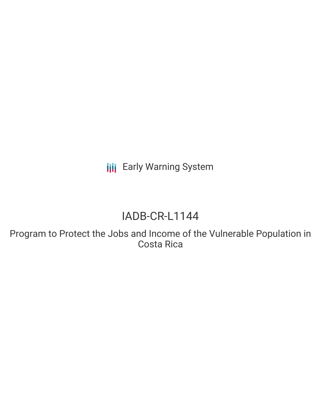**III** Early Warning System

# IADB-CR-L1144

Program to Protect the Jobs and Income of the Vulnerable Population in Costa Rica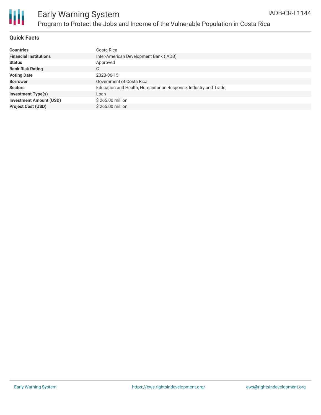

### **Quick Facts**

| <b>Countries</b>               | Costa Rica                                                      |
|--------------------------------|-----------------------------------------------------------------|
| <b>Financial Institutions</b>  | Inter-American Development Bank (IADB)                          |
| <b>Status</b>                  | Approved                                                        |
| <b>Bank Risk Rating</b>        | C.                                                              |
| <b>Voting Date</b>             | 2020-06-15                                                      |
| <b>Borrower</b>                | Government of Costa Rica                                        |
| <b>Sectors</b>                 | Education and Health, Humanitarian Response, Industry and Trade |
| <b>Investment Type(s)</b>      | Loan                                                            |
| <b>Investment Amount (USD)</b> | \$265.00 million                                                |
| <b>Project Cost (USD)</b>      | \$265.00 million                                                |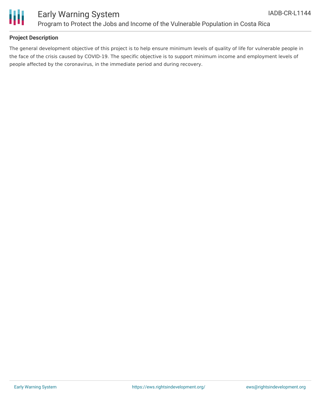

### **Project Description**

The general development objective of this project is to help ensure minimum levels of quality of life for vulnerable people in the face of the crisis caused by COVID-19. The specific objective is to support minimum income and employment levels of people affected by the coronavirus, in the immediate period and during recovery.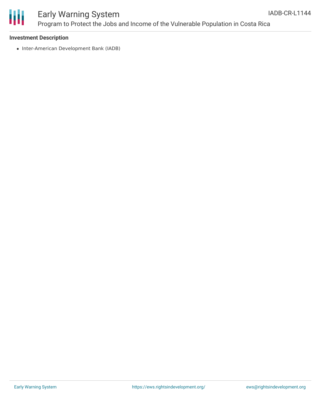

#### **Investment Description**

• Inter-American Development Bank (IADB)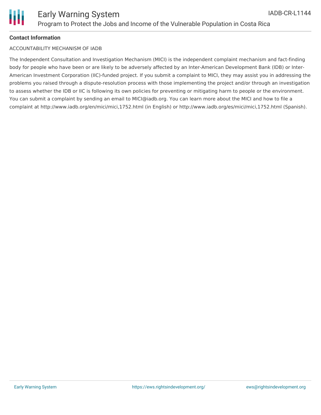### ACCOUNTABILITY MECHANISM OF IADB

The Independent Consultation and Investigation Mechanism (MICI) is the independent complaint mechanism and fact-finding body for people who have been or are likely to be adversely affected by an Inter-American Development Bank (IDB) or Inter-American Investment Corporation (IIC)-funded project. If you submit a complaint to MICI, they may assist you in addressing the problems you raised through a dispute-resolution process with those implementing the project and/or through an investigation to assess whether the IDB or IIC is following its own policies for preventing or mitigating harm to people or the environment. You can submit a complaint by sending an email to MICI@iadb.org. You can learn more about the MICI and how to file a complaint at http://www.iadb.org/en/mici/mici,1752.html (in English) or http://www.iadb.org/es/mici/mici,1752.html (Spanish).